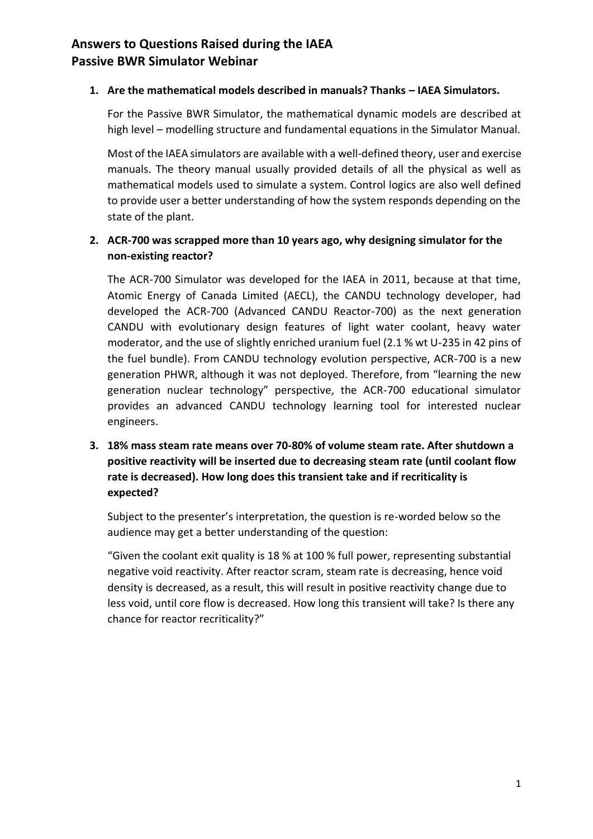#### 1. Are the mathematical models described in manuals? Thanks – IAEA Simulators.

For the Passive BWR Simulator, the mathematical dynamic models are described at high level – modelling structure and fundamental equations in the Simulator Manual.

Most of the IAEA simulators are available with a well-defined theory, user and exercise manuals. The theory manual usually provided details of all the physical as well as mathematical models used to simulate a system. Control logics are also well defined to provide user a better understanding of how the system responds depending on the state of the plant.

### **2. ACR-700 was scrapped more than 10 years ago, why designing simulator for the non-existing reactor?**

The ACR-700 Simulator was developed for the IAEA in 2011, because at that time, Atomic Energy of Canada Limited (AECL), the CANDU technology developer, had developed the ACR-700 (Advanced CANDU Reactor-700) as the next generation CANDU with evolutionary design features of light water coolant, heavy water moderator, and the use of slightly enriched uranium fuel (2.1 % wt U-235 in 42 pins of the fuel bundle). From CANDU technology evolution perspective, ACR-700 is a new generation PHWR, although it was not deployed. Therefore, from "learning the new generation nuclear technology" perspective, the ACR-700 educational simulator provides an advanced CANDU technology learning tool for interested nuclear engineers.

**3. 18% mass steam rate means over 70-80% of volume steam rate. After shutdown a positive reactivity will be inserted due to decreasing steam rate (until coolant flow rate is decreased). How long does this transient take and if recriticality is expected?** 

Subject to the presenter's interpretation, the question is re-worded below so the audience may get a better understanding of the question:

"Given the coolant exit quality is 18 % at 100 % full power, representing substantial negative void reactivity. After reactor scram, steam rate is decreasing, hence void density is decreased, as a result, this will result in positive reactivity change due to less void, until core flow is decreased. How long this transient will take? Is there any chance for reactor recriticality?"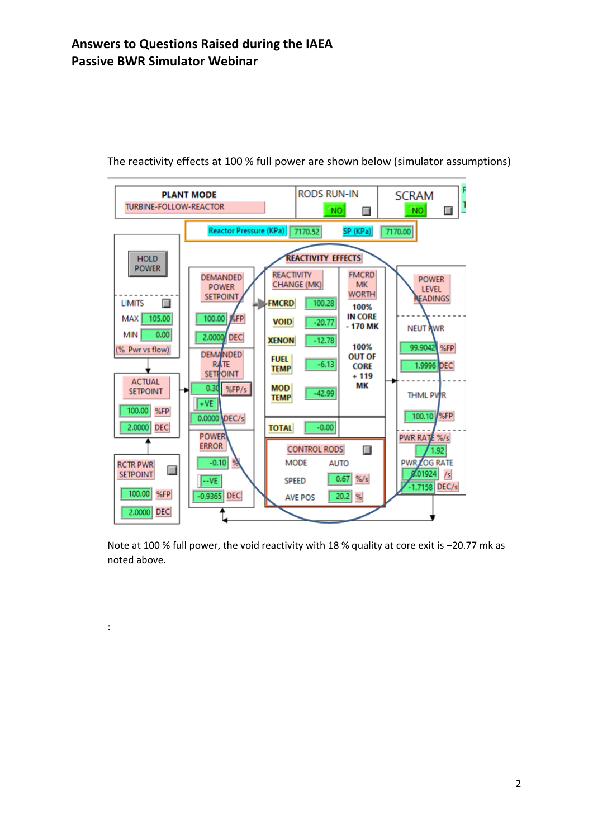:



The reactivity effects at 100 % full power are shown below (simulator assumptions)

Note at 100 % full power, the void reactivity with 18 % quality at core exit is -20.77 mk as noted above.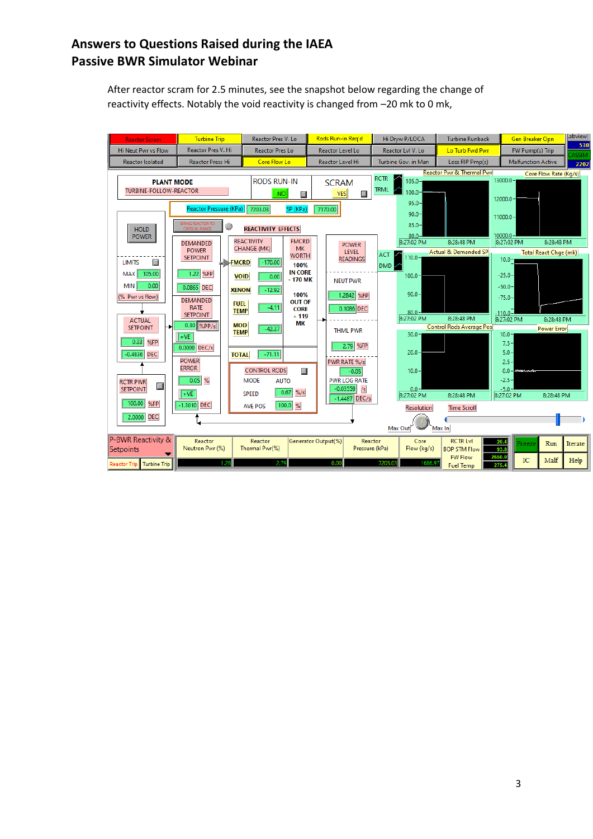After reactor scram for 2.5 minutes, see the snapshot below regarding the change of reactivity effects. Notably the void reactivity is changed from –20 mk to 0 mk,

| <b>Reactor Scram</b>                                                                                                                                                            | <b>Turbine Trip</b>                                                                                                                                                                                                                                                         | Reactor Pres V. Lo                                                                                                                               | Rods Run-in Reg'd                                                             | Hi Dryw P/LOCA                                                                             | <b>Turbine Runback</b>                                                                          | Gen Breaker Opn                                                                                    | Labview             |
|---------------------------------------------------------------------------------------------------------------------------------------------------------------------------------|-----------------------------------------------------------------------------------------------------------------------------------------------------------------------------------------------------------------------------------------------------------------------------|--------------------------------------------------------------------------------------------------------------------------------------------------|-------------------------------------------------------------------------------|--------------------------------------------------------------------------------------------|-------------------------------------------------------------------------------------------------|----------------------------------------------------------------------------------------------------|---------------------|
| <b>Hi Neut Pwr vs Flow</b>                                                                                                                                                      | Reactor Pres V. Hi                                                                                                                                                                                                                                                          | <b>Reactor Pres Lo</b>                                                                                                                           | Reactor Level Lo                                                              | Reactor LvI V. Lo                                                                          | Lo Turb Fwd Pwr                                                                                 | FW Pump(s) Trip                                                                                    | 530<br><b>ASSIM</b> |
| <b>Reactor Isolated</b>                                                                                                                                                         | <b>Reactor Press Hi</b>                                                                                                                                                                                                                                                     | Core Flow Lo                                                                                                                                     | Reactor Level Hi                                                              | Turbine Gov. in Man                                                                        | Loss RIP Pmp(s)                                                                                 | <b>Malfunction Active</b>                                                                          | 2202                |
| <b>PLANT MODE</b><br><b>TURBINE-FOLLOW-REACTOR</b>                                                                                                                              |                                                                                                                                                                                                                                                                             | <b>RODS RUN-IN</b><br><b>NO</b><br>П                                                                                                             | <b>SCRAM</b><br>YES<br>Ш                                                      | <b>RCTR</b><br>$105.0 -$<br><b>TRML</b><br>$00.0 -$<br>$95.0 -$                            | Reactor Pwr & Thermal Pwrl                                                                      | Core Flow Rate (Kg/s)<br>$13000.0 -$<br>$12000.0 -$                                                |                     |
| <b>HOLD</b><br><b>POWER</b>                                                                                                                                                     | Reactor Pressure (KPa)<br>BRING REACTOR TO<br>$\circledcirc$<br>CRITICAL RANGE<br><b>DEMANDED</b><br><b>POWER</b><br><b>SETPOINT</b>                                                                                                                                        | 7203.03<br>SP (KPa)<br><b>REACTIVITY EFFECTS</b><br><b>REACTIVITY</b><br><b>FMCRD</b><br><b>CHANGE (MK)</b><br><b>MK</b><br><b>WORTH</b>         | 7170.00<br><b>POWER</b><br><b>LEVEL</b><br><b>READINGS</b>                    | $90.0 -$<br>$85.0 -$<br>$80.0 -$<br>8:27:02 PM<br><b>ACT</b><br>$110.0 -$                  | 8:28:48 PM<br><b>Actual &amp; Demanded SP</b>                                                   | $11000.0 -$<br>$10000.0 -$<br>8:28:48 PM<br>8:27:02 PM<br><b>Total React Chge (mk)</b><br>$10.0 -$ |                     |
| Ш<br><b>LIMITS</b><br>105.00<br><b>MAX</b><br>0.00<br><b>MIN</b><br>(% Pwr vs flow)<br><b>ACTUAL</b><br><b>SETPOINT</b><br>₩<br>0.33<br>%FP<br>$-0.4836$ DEC<br><b>RCTR PWR</b> | <b>FMCRD</b><br>1.22 %FP<br>0.0865 DEC<br><b>XENON</b><br><b>DEMANDED</b><br><b>FUEL</b><br><b>RATE</b><br><b>TEMP</b><br><b>SETPOINT</b><br>$0.30$ %PP/s<br><b>MOD</b><br><b>TEMP</b><br>$+VE$<br>0.0000 DEC/s<br><b>TOTAL</b><br><b>POWER</b><br><b>ERROR</b><br>$0.05$ % | $-170.00$<br>100%<br><b>IN CORE</b><br><b>VOID</b><br>0.00<br>$-170$ MK<br>$-12.92$<br>100%<br><b>OUT OF</b><br>$-4.11$<br><b>CORE</b><br>$+119$ | <b>NEUT PWR</b><br>1.2842 %FP<br>0.1086 DEC                                   | DMD<br>$100.0 -$<br>$90.0 -$<br>$80.0 -$<br>8:27:02 PM<br>$30.0 -$<br>$20.0 -$<br>$10.0 -$ | 8:28:48 PM                                                                                      | $-25.0-$<br>$-50.0 -$<br>$-75.0 -$<br>$-110.0$<br>8:27:02 PM<br>8:28:48 PM                         |                     |
|                                                                                                                                                                                 |                                                                                                                                                                                                                                                                             | MК<br>$-42.37$<br>$-71.11$<br><b>CONTROL RODS</b><br>Ш<br><b>MODE</b><br><b>AUTO</b>                                                             | <b>THML PWR</b><br>2.79 %FP<br>PWR RATE %/s<br>$-0.05$<br><b>PWR LOG RATE</b> |                                                                                            | <b>Control Rods Average Pos</b>                                                                 | <b>Power Error</b><br>$10.0 -$<br>$7.5 -$<br>$5.0 -$<br>$2.5 -$<br>$-2.5-$                         |                     |
| П<br><b>SETPOINT</b><br>100.00<br>%FP<br><b>DEC</b><br>2.0000                                                                                                                   | $+VE$<br>$-1.3010$ DEC                                                                                                                                                                                                                                                      | 0.67<br>$%$ /s<br><b>SPEED</b><br>100.0 %<br><b>AVE POS</b>                                                                                      | $-0.03559$<br>/s <sup>2</sup><br>$-1.4487$ DEC/s                              | $0.0 -$<br>8:27:02 PM<br><b>Resolution</b><br>Max Out                                      | 8:28:48 PM<br><b>Time Scroll</b><br>Max In                                                      | $-5.0 -$<br>8:27:02 PM<br>8:28:48 PM                                                               |                     |
| P-BWR Reactivity &<br>Setpoints<br><b>Turbine Trip</b><br><b>Reactor Trip</b>                                                                                                   | Reactor<br>Neutron Pwr (%)                                                                                                                                                                                                                                                  | Reactor<br>Thermal Pwr(%)<br>2.79                                                                                                                | Generator Output(%)<br>Pressure (kPa)<br>0.00                                 | Reactor<br>Core<br>Flow (kg/s)<br>7203.03<br>1686.9                                        | <b>RCTR LvI</b><br><b>BOP STM Flow</b><br>2650.0<br><b>FW Flow</b><br>275.4<br><b>Fuel Temp</b> | 20.4<br>Run<br>Freeze<br>93.8<br>IC<br>Malf                                                        | Iterate<br>Help     |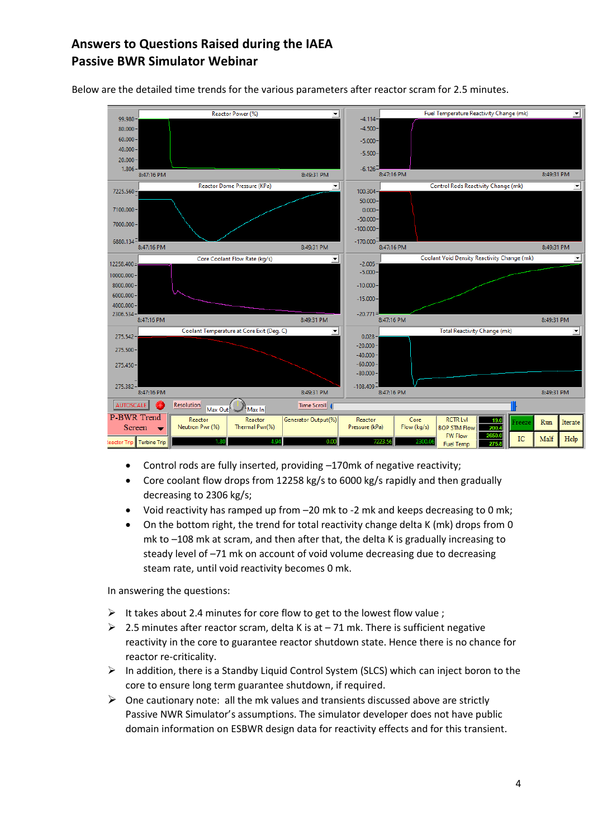

Below are the detailed time trends for the various parameters after reactor scram for 2.5 minutes.

- Control rods are fully inserted, providing –170mk of negative reactivity;
- Core coolant flow drops from 12258 kg/s to 6000 kg/s rapidly and then gradually decreasing to 2306 kg/s;
- Void reactivity has ramped up from –20 mk to -2 mk and keeps decreasing to 0 mk;
- On the bottom right, the trend for total reactivity change delta K (mk) drops from 0 mk to –108 mk at scram, and then after that, the delta K is gradually increasing to steady level of –71 mk on account of void volume decreasing due to decreasing steam rate, until void reactivity becomes 0 mk.

In answering the questions:

- $\triangleright$  It takes about 2.4 minutes for core flow to get to the lowest flow value ;
- $\geq 2.5$  minutes after reactor scram, delta K is at  $-71$  mk. There is sufficient negative reactivity in the core to guarantee reactor shutdown state. Hence there is no chance for reactor re-criticality.
- ➢ In addition, there is a Standby Liquid Control System (SLCS) which can inject boron to the core to ensure long term guarantee shutdown, if required.
- $\triangleright$  One cautionary note: all the mk values and transients discussed above are strictly Passive NWR Simulator's assumptions. The simulator developer does not have public domain information on ESBWR design data for reactivity effects and for this transient.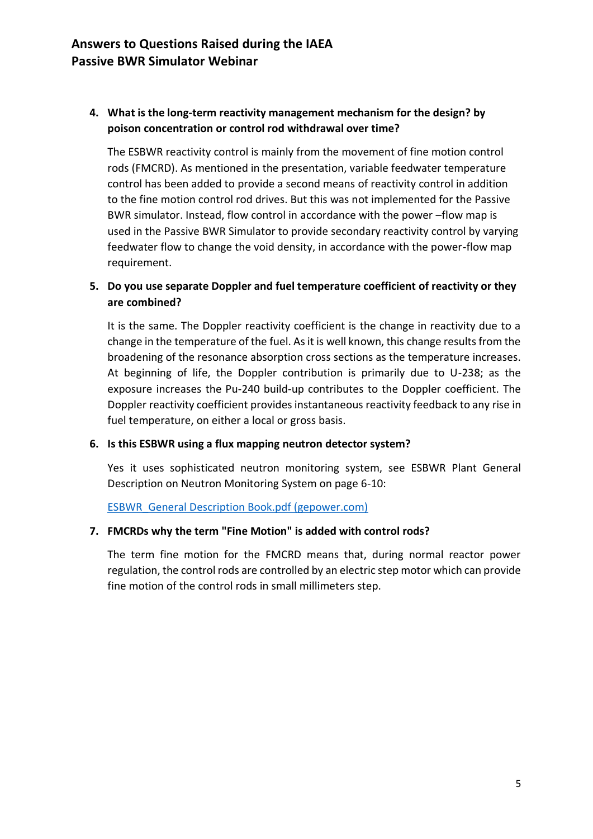### **4. What is the long-term reactivity management mechanism for the design? by poison concentration or control rod withdrawal over time?**

The ESBWR reactivity control is mainly from the movement of fine motion control rods (FMCRD). As mentioned in the presentation, variable feedwater temperature control has been added to provide a second means of reactivity control in addition to the fine motion control rod drives. But this was not implemented for the Passive BWR simulator. Instead, flow control in accordance with the power –flow map is used in the Passive BWR Simulator to provide secondary reactivity control by varying feedwater flow to change the void density, in accordance with the power-flow map requirement.

### **5. Do you use separate Doppler and fuel temperature coefficient of reactivity or they are combined?**

It is the same. The Doppler reactivity coefficient is the change in reactivity due to a change in the temperature of the fuel. As it is well known, this change results from the broadening of the resonance absorption cross sections as the temperature increases. At beginning of life, the Doppler contribution is primarily due to U-238; as the exposure increases the Pu-240 build-up contributes to the Doppler coefficient. The Doppler reactivity coefficient provides instantaneous reactivity feedback to any rise in fuel temperature, on either a local or gross basis.

#### **6. Is this ESBWR using a flux mapping neutron detector system?**

Yes it uses sophisticated neutron monitoring system, see ESBWR Plant General Description on Neutron Monitoring System on page 6-10:

[ESBWR\\_General Description Book.pdf \(gepower.com\)](https://nuclear.gepower.com/content/dam/gepower-nuclear/global/en_US/documents/ESBWR_General%20Description%20Book.pdf)

#### **7. FMCRDs why the term "Fine Motion" is added with control rods?**

The term fine motion for the FMCRD means that, during normal reactor power regulation, the control rods are controlled by an electric step motor which can provide fine motion of the control rods in small millimeters step.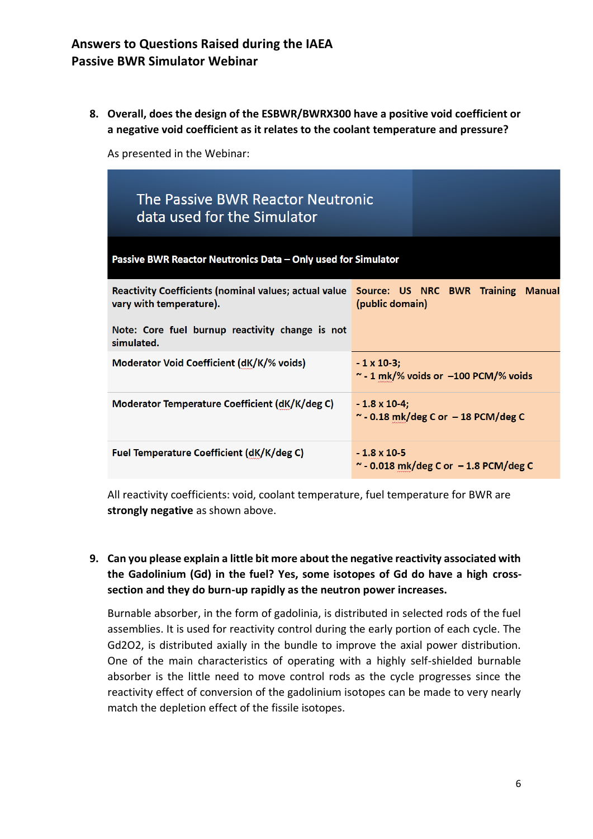**8. Overall, does the design of the ESBWR/BWRX300 have a positive void coefficient or a negative void coefficient as it relates to the coolant temperature and pressure?**

As presented in the Webinar:

| The Passive BWR Reactor Neutronic<br>data used for the Simulator                                                    |                                                                    |  |  |  |  |
|---------------------------------------------------------------------------------------------------------------------|--------------------------------------------------------------------|--|--|--|--|
| Passive BWR Reactor Neutronics Data - Only used for Simulator                                                       |                                                                    |  |  |  |  |
| Reactivity Coefficients (nominal values; actual value Source: US NRC BWR Training Manual<br>vary with temperature). | (public domain)                                                    |  |  |  |  |
| Note: Core fuel burnup reactivity change is not<br>simulated.                                                       |                                                                    |  |  |  |  |
| Moderator Void Coefficient (dK/K/% voids)                                                                           | $-1 \times 10-3$ ;<br>$\sim$ - 1 mk/% voids or $-100$ PCM/% voids  |  |  |  |  |
| Moderator Temperature Coefficient (dK/K/deg C)                                                                      | $-1.8 \times 10-4$ :<br>$\sim$ - 0.18 mk/deg C or $-$ 18 PCM/deg C |  |  |  |  |
| Fuel Temperature Coefficient (dK/K/deg C)                                                                           | $-1.8 \times 10.5$<br>$\sim$ - 0.018 mk/deg C or $-1.8$ PCM/deg C  |  |  |  |  |

All reactivity coefficients: void, coolant temperature, fuel temperature for BWR are **strongly negative** as shown above.

## **9. Can you please explain a little bit more about the negative reactivity associated with the Gadolinium (Gd) in the fuel? Yes, some isotopes of Gd do have a high crosssection and they do burn-up rapidly as the neutron power increases.**

Burnable absorber, in the form of gadolinia, is distributed in selected rods of the fuel assemblies. It is used for reactivity control during the early portion of each cycle. The Gd2O2, is distributed axially in the bundle to improve the axial power distribution. One of the main characteristics of operating with a highly self-shielded burnable absorber is the little need to move control rods as the cycle progresses since the reactivity effect of conversion of the gadolinium isotopes can be made to very nearly match the depletion effect of the fissile isotopes.